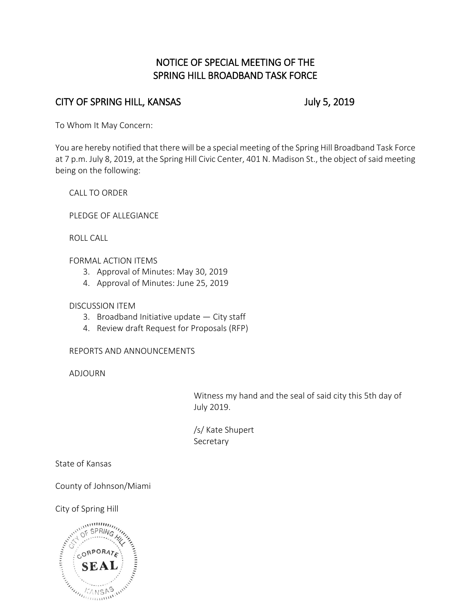# NOTICE OF SPECIAL MEETING OF THE SPRING HILL BROADBAND TASK FORCE

# CITY OF SPRING HILL, KANSAS July 5, 2019

To Whom It May Concern:

You are hereby notified that there will be a special meeting of the Spring Hill Broadband Task Force at 7 p.m. July 8, 2019, at the Spring Hill Civic Center, 401 N. Madison St., the object of said meeting being on the following:

CALL TO ORDER

PLEDGE OF ALLEGIANCE

ROLL CALL

FORMAL ACTION ITEMS

- 3. Approval of Minutes: May 30, 2019
- 4. Approval of Minutes: June 25, 2019

DISCUSSION ITEM

- 3. Broadband Initiative update City staff
- 4. Review draft Request for Proposals (RFP)

REPORTS AND ANNOUNCEMENTS

ADJOURN

Witness my hand and the seal of said city this 5th day of July 2019.

/s/ Kate Shupert Secretary

State of Kansas

County of Johnson/Miami

City of Spring Hill

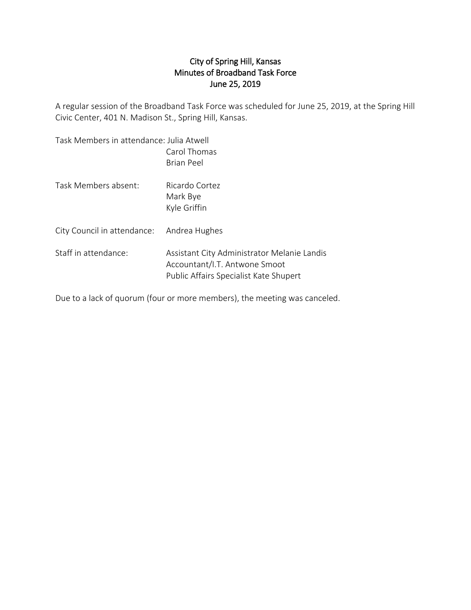#### City of Spring Hill, Kansas Minutes of Broadband Task Force June 25, 2019

A regular session of the Broadband Task Force was scheduled for June 25, 2019, at the Spring Hill Civic Center, 401 N. Madison St., Spring Hill, Kansas.

| Task Members in attendance: Julia Atwell | Carol Thomas<br><b>Brian Peel</b>                                                                                      |
|------------------------------------------|------------------------------------------------------------------------------------------------------------------------|
| Task Members absent:                     | Ricardo Cortez<br>Mark Bye<br>Kyle Griffin                                                                             |
| City Council in attendance:              | Andrea Hughes                                                                                                          |
| Staff in attendance:                     | Assistant City Administrator Melanie Landis<br>Accountant/I.T. Antwone Smoot<br>Public Affairs Specialist Kate Shupert |

Due to a lack of quorum (four or more members), the meeting was canceled.